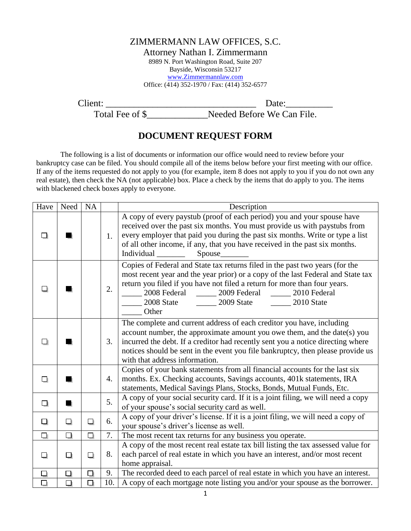## ZIMMERMANN LAW OFFICES, S.C.

Attorney Nathan I. Zimmermann

8989 N. Port Washington Road, Suite 207 Bayside, Wisconsin 53217 [www.Zimmermannlaw.com](http://www.zimmermannlaw.com/) Office: (414) 352-1970 / Fax: (414) 352-6577

Client: \_\_\_\_\_\_\_\_\_\_\_\_\_\_\_\_\_\_\_\_\_\_\_\_\_\_\_\_\_\_\_\_ Date:\_\_\_\_\_\_\_\_\_\_

Total Fee of \$<br>Needed Before We Can File.

## **DOCUMENT REQUEST FORM**

The following is a list of documents or information our office would need to review before your bankruptcy case can be filed. You should compile all of the items below before your first meeting with our office. If any of the items requested do not apply to you (for example, item 8 does not apply to you if you do not own any real estate), then check the NA (not applicable) box. Place a check by the items that do apply to you. The items with blackened check boxes apply to everyone.

| Have   | Need | <b>NA</b> |     | Description                                                                                                                                                                                                                                                                                                                                                                |
|--------|------|-----------|-----|----------------------------------------------------------------------------------------------------------------------------------------------------------------------------------------------------------------------------------------------------------------------------------------------------------------------------------------------------------------------------|
|        |      |           | 1.  | A copy of every paystub (proof of each period) you and your spouse have<br>received over the past six months. You must provide us with paystubs from<br>every employer that paid you during the past six months. Write or type a list<br>of all other income, if any, that you have received in the past six months.<br>Individual<br>Spouse                               |
|        |      |           | 2.  | Copies of Federal and State tax returns filed in the past two years (for the<br>most recent year and the year prior) or a copy of the last Federal and State tax<br>return you filed if you have not filed a return for more than four years.<br>2008 Federal ________ 2009 Federal ________ 2010 Federal<br>2008 State _________ 2009 State _________ 2010 State<br>Other |
|        |      |           | 3.  | The complete and current address of each creditor you have, including<br>account number, the approximate amount you owe them, and the date(s) you<br>incurred the debt. If a creditor had recently sent you a notice directing where<br>notices should be sent in the event you file bankruptcy, then please provide us<br>with that address information.                  |
| Lli    |      |           | 4.  | Copies of your bank statements from all financial accounts for the last six<br>months. Ex. Checking accounts, Savings accounts, 401k statements, IRA<br>statements, Medical Savings Plans, Stocks, Bonds, Mutual Funds, Etc.                                                                                                                                               |
| □      |      |           | 5.  | A copy of your social security card. If it is a joint filing, we will need a copy<br>of your spouse's social security card as well.                                                                                                                                                                                                                                        |
| ❏      | О    | ❏         | 6.  | A copy of your driver's license. If it is a joint filing, we will need a copy of<br>your spouse's driver's license as well.                                                                                                                                                                                                                                                |
| $\Box$ | О    | $\Box$    | 7.  | The most recent tax returns for any business you operate.                                                                                                                                                                                                                                                                                                                  |
| ❏      | ❏    | ◘         | 8.  | A copy of the most recent real estate tax bill listing the tax assessed value for<br>each parcel of real estate in which you have an interest, and/or most recent<br>home appraisal.                                                                                                                                                                                       |
| □      | ◘    | ◻         | 9.  | The recorded deed to each parcel of real estate in which you have an interest.                                                                                                                                                                                                                                                                                             |
| $\Box$ | ◻    | $\Box$    | 10. | A copy of each mortgage note listing you and/or your spouse as the borrower.                                                                                                                                                                                                                                                                                               |